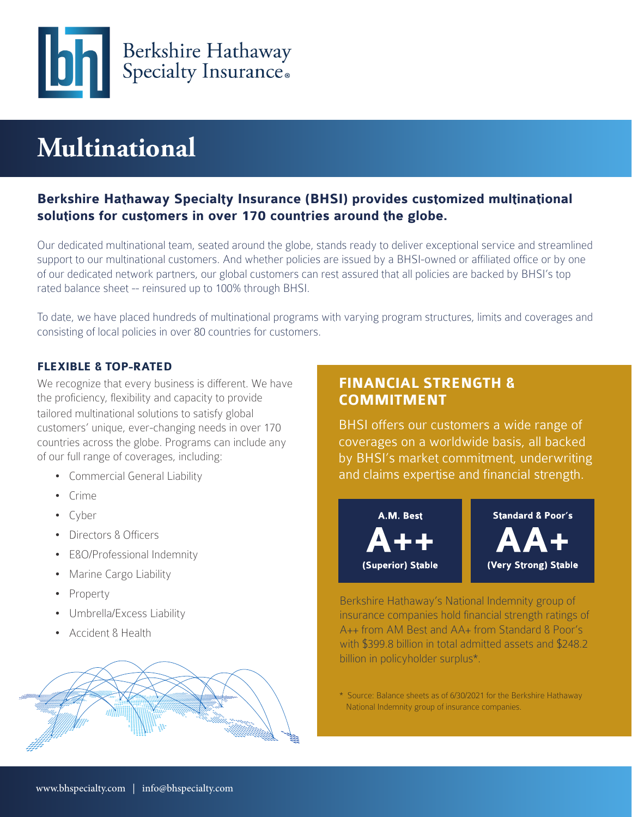

# **Multinational**

# **Berkshire Hathaway Specialty Insurance (BHSI) provides customized multinational solutions for customers in over 170 countries around the globe.**

Our dedicated multinational team, seated around the globe, stands ready to deliver exceptional service and streamlined support to our multinational customers. And whether policies are issued by a BHSI-owned or affiliated office or by one of our dedicated network partners, our global customers can rest assured that all policies are backed by BHSI's top rated balance sheet -- reinsured up to 100% through BHSI.

To date, we have placed hundreds of multinational programs with varying program structures, limits and coverages and consisting of local policies in over 80 countries for customers.

### **FLEXIBLE & TOP-RATED**

We recognize that every business is different. We have the proficiency, flexibility and capacity to provide tailored multinational solutions to satisfy global customers' unique, ever-changing needs in over 170 countries across the globe. Programs can include any of our full range of coverages, including:

- Commercial General Liability
- Crime
- Cyber
- Directors & Officers
- E&O/Professional Indemnity
- Marine Cargo Liability
- Property
- Umbrella/Excess Liability
- Accident & Health



# **FINANCIAL STRENGTH & COMMITMENT**

BHSI offers our customers a wide range of coverages on a worldwide basis, all backed by BHSI's market commitment, underwriting and claims expertise and financial strength.



Berkshire Hathaway's National Indemnity group of insurance companies hold financial strength ratings of A++ from AM Best and AA+ from Standard & Poor's with \$399.8 billion in total admitted assets and \$248.2 billion in policyholder surplus\*.

\* Source: Balance sheets as of 6/30/2021 for the Berkshire Hathaway National Indemnity group of insurance companies.